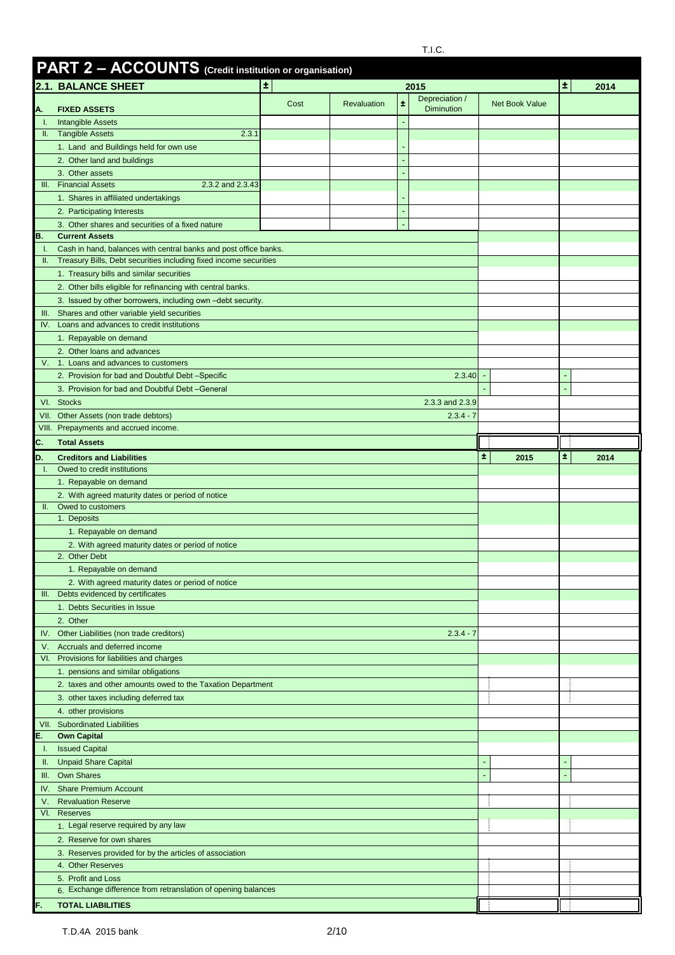|           | PART 2 - ACCOUNTS (Credit institution or organisation)                                                                                |                                 |                                                   |   |                   |                       |    |      |
|-----------|---------------------------------------------------------------------------------------------------------------------------------------|---------------------------------|---------------------------------------------------|---|-------------------|-----------------------|----|------|
|           | <b>2.1. BALANCE SHEET</b>                                                                                                             | Ŧ.                              |                                                   |   | 2015              |                       | ±. | 2014 |
|           |                                                                                                                                       | Cost                            | <b>Revaluation</b>                                | ÷ | Depreciation /    | <b>Net Book Value</b> |    |      |
| Α.        | <b>FIXED ASSETS</b>                                                                                                                   |                                 |                                                   |   | <b>Diminution</b> |                       |    |      |
| Τ.        | <b>Intangible Assets</b><br>II. Tangible Assets<br>2.3.1                                                                              |                                 |                                                   |   |                   |                       |    |      |
|           | 1. Land and Buildings held for own use                                                                                                |                                 |                                                   |   |                   |                       |    |      |
|           | 2. Other land and buildings                                                                                                           |                                 |                                                   |   |                   |                       |    |      |
|           | 3. Other assets                                                                                                                       |                                 |                                                   |   |                   |                       |    |      |
| III.      | <b>Financial Assets</b><br>2.3.2 and 2.3.43                                                                                           |                                 |                                                   |   |                   |                       |    |      |
|           | 1. Shares in affiliated undertakings                                                                                                  |                                 |                                                   |   |                   |                       |    |      |
|           | 2. Participating Interests                                                                                                            |                                 |                                                   |   |                   |                       |    |      |
|           | 3. Other shares and securities of a fixed nature                                                                                      |                                 |                                                   |   |                   |                       |    |      |
| В.        | <b>Current Assets</b>                                                                                                                 |                                 |                                                   |   |                   |                       |    |      |
| Ч.<br>H.  | Cash in hand, balances with central banks and post office banks.<br>Treasury Bills, Debt securities including fixed income securities |                                 |                                                   |   |                   |                       |    |      |
|           | 1. Treasury bills and similar securities                                                                                              |                                 |                                                   |   |                   |                       |    |      |
|           | 2. Other bills eligible for refinancing with central banks.                                                                           |                                 |                                                   |   |                   |                       |    |      |
|           | 3. Issued by other borrowers, including own -debt security.                                                                           |                                 |                                                   |   |                   |                       |    |      |
| Ш.        | Shares and other variable yield securities                                                                                            |                                 |                                                   |   |                   |                       |    |      |
| IV.       | Loans and advances to credit institutions                                                                                             |                                 |                                                   |   |                   |                       |    |      |
|           | 1. Repayable on demand                                                                                                                |                                 |                                                   |   |                   |                       |    |      |
|           | 2. Other loans and advances                                                                                                           |                                 |                                                   |   |                   |                       |    |      |
| V.        | 1. Loans and advances to customers                                                                                                    |                                 |                                                   |   |                   |                       |    |      |
|           | 2. Provision for bad and Doubtful Debt-Specific                                                                                       | 2.3.40                          |                                                   |   |                   |                       |    |      |
|           | 3. Provision for bad and Doubtful Debt-General                                                                                        |                                 |                                                   |   |                   |                       |    |      |
|           | VI. Stocks                                                                                                                            |                                 |                                                   |   | 2.3.3 and 2.3.9   |                       |    |      |
| VII.      | Other Assets (non trade debtors)                                                                                                      |                                 |                                                   |   | $2.3.4 - 7$       |                       |    |      |
|           | VIII. Prepayments and accrued income.                                                                                                 |                                 |                                                   |   |                   |                       |    |      |
| C.        | <b>Total Assets</b>                                                                                                                   |                                 |                                                   |   |                   |                       |    |      |
| D.        | <b>Creditors and Liabilities</b>                                                                                                      |                                 |                                                   |   |                   | ±.<br>2015            | ±. | 2014 |
|           | Owed to credit institutions<br>1. Repayable on demand                                                                                 |                                 |                                                   |   |                   |                       |    |      |
|           | 2. With agreed maturity dates or period of notice                                                                                     |                                 |                                                   |   |                   |                       |    |      |
| H.        | Owed to customers                                                                                                                     |                                 |                                                   |   |                   |                       |    |      |
|           | 1. Deposits                                                                                                                           |                                 |                                                   |   |                   |                       |    |      |
|           | 1. Repayable on demand                                                                                                                |                                 |                                                   |   |                   |                       |    |      |
|           | 2. With agreed maturity dates or period of notice                                                                                     |                                 |                                                   |   |                   |                       |    |      |
|           | 2. Other Debt                                                                                                                         |                                 |                                                   |   |                   |                       |    |      |
|           | 1. Repayable on demand                                                                                                                |                                 |                                                   |   |                   |                       |    |      |
|           |                                                                                                                                       |                                 | 2. With agreed maturity dates or period of notice |   |                   |                       |    |      |
| Ш.        |                                                                                                                                       | Debts evidenced by certificates |                                                   |   |                   |                       |    |      |
|           | 1. Debts Securities in Issue                                                                                                          |                                 |                                                   |   |                   |                       |    |      |
| IV.       |                                                                                                                                       |                                 |                                                   |   |                   |                       |    |      |
|           | 2. Other                                                                                                                              |                                 |                                                   |   |                   |                       |    |      |
|           | Other Liabilities (non trade creditors)                                                                                               |                                 |                                                   |   | $2.3.4 - 7$       |                       |    |      |
| V.<br>VI. | Accruals and deferred income                                                                                                          |                                 |                                                   |   |                   |                       |    |      |
|           | Provisions for liabilities and charges                                                                                                |                                 |                                                   |   |                   |                       |    |      |
|           | 1. pensions and similar obligations<br>2. taxes and other amounts owed to the Taxation Department                                     |                                 |                                                   |   |                   | ŧ                     |    |      |
|           | 3. other taxes including deferred tax                                                                                                 |                                 |                                                   |   |                   |                       |    |      |
|           | 4. other provisions                                                                                                                   |                                 |                                                   |   |                   |                       |    |      |
|           | VII. Subordinated Liabilities                                                                                                         |                                 |                                                   |   |                   |                       |    |      |
| Е.        | <b>Own Capital</b>                                                                                                                    |                                 |                                                   |   |                   |                       |    |      |
| L.        | <b>Issued Capital</b>                                                                                                                 |                                 |                                                   |   |                   |                       |    |      |
| Ш.        | <b>Unpaid Share Capital</b>                                                                                                           |                                 |                                                   |   |                   |                       |    |      |
| Ш.        | <b>Own Shares</b>                                                                                                                     |                                 |                                                   |   |                   | ٠                     |    |      |
| IV.       | <b>Share Premium Account</b>                                                                                                          |                                 |                                                   |   |                   |                       |    |      |
| ν.        | <b>Revaluation Reserve</b>                                                                                                            |                                 |                                                   |   |                   | ł                     |    |      |
| VI.       | <b>Reserves</b>                                                                                                                       |                                 |                                                   |   |                   |                       |    |      |
|           | 1. Legal reserve required by any law                                                                                                  |                                 |                                                   |   |                   |                       |    |      |
|           | 2. Reserve for own shares                                                                                                             |                                 |                                                   |   |                   |                       |    |      |
|           | 3. Reserves provided for by the articles of association<br>4. Other Reserves                                                          |                                 |                                                   |   |                   |                       |    |      |
|           | 5. Profit and Loss                                                                                                                    |                                 |                                                   |   |                   |                       |    |      |
|           | 6. Exchange difference from retranslation of opening balances                                                                         |                                 |                                                   |   |                   |                       |    |      |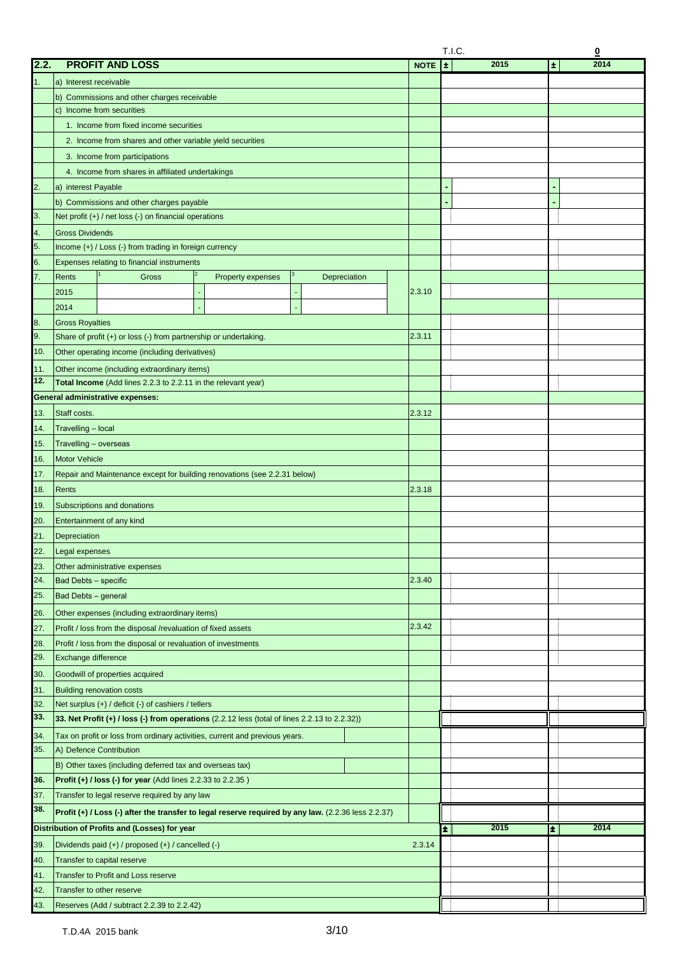|      |                                                                                                     |             | T.I.C.<br>$\overline{\mathbf{0}}$ |                     |  |  |
|------|-----------------------------------------------------------------------------------------------------|-------------|-----------------------------------|---------------------|--|--|
| 2.2. | <b>PROFIT AND LOSS</b>                                                                              | <b>NOTE</b> | 2015<br>Ι±                        | 2014<br>$\pmb{\pm}$ |  |  |
| 1.   | a) Interest receivable                                                                              |             |                                   |                     |  |  |
|      | b) Commissions and other charges receivable                                                         |             |                                   |                     |  |  |
|      | c) Income from securities                                                                           |             |                                   |                     |  |  |
|      | 1. Income from fixed income securities                                                              |             |                                   |                     |  |  |
|      | 2. Income from shares and other variable yield securities                                           |             |                                   |                     |  |  |
|      |                                                                                                     |             |                                   |                     |  |  |
|      | 3. Income from participations                                                                       |             |                                   |                     |  |  |
|      | 4. Income from shares in affiliated undertakings                                                    |             |                                   |                     |  |  |
| 2.   | a) interest Payable                                                                                 |             |                                   |                     |  |  |
|      | b) Commissions and other charges payable                                                            |             |                                   |                     |  |  |
| 3.   | Net profit $(+)$ / net loss $(-)$ on financial operations                                           |             |                                   |                     |  |  |
| 4.   | <b>Gross Dividends</b>                                                                              |             |                                   |                     |  |  |
| 5.   | Income (+) / Loss (-) from trading in foreign currency                                              |             |                                   |                     |  |  |
| 6.   | Expenses relating to financial instruments                                                          |             |                                   |                     |  |  |
| 7.   | Rents<br>Gross<br><b>Property expenses</b><br>Depreciation                                          |             |                                   |                     |  |  |
|      | 2015                                                                                                | 2.3.10      |                                   |                     |  |  |
|      | 2014                                                                                                |             |                                   |                     |  |  |
| 8.   | <b>Gross Royalties</b>                                                                              |             |                                   |                     |  |  |
| 9.   | Share of profit (+) or loss (-) from partnership or undertaking.                                    | 2.3.11      |                                   |                     |  |  |
| 10.  | Other operating income (including derivatives)                                                      |             |                                   |                     |  |  |
| 11.  | Other income (including extraordinary items)                                                        |             |                                   |                     |  |  |
| 12.  | Total Income (Add lines 2.2.3 to 2.2.11 in the relevant year)                                       |             |                                   |                     |  |  |
|      | <b>General administrative expenses:</b>                                                             |             |                                   |                     |  |  |
| 13.  | Staff costs.                                                                                        | 2.3.12      |                                   |                     |  |  |
| 14.  | Travelling - local                                                                                  |             |                                   |                     |  |  |
| 15.  | Travelling - overseas                                                                               |             |                                   |                     |  |  |
| 16.  | Motor Vehicle                                                                                       |             |                                   |                     |  |  |
| 17.  | Repair and Maintenance except for building renovations (see 2.2.31 below)                           |             |                                   |                     |  |  |
|      |                                                                                                     |             |                                   |                     |  |  |
| 18.  | Rents                                                                                               | 2.3.18      |                                   |                     |  |  |
| 19.  | Subscriptions and donations                                                                         |             |                                   |                     |  |  |
| 20.  | Entertainment of any kind                                                                           |             |                                   |                     |  |  |
| 21.  | Depreciation                                                                                        |             |                                   |                     |  |  |
| 22.  | Legal expenses                                                                                      |             |                                   |                     |  |  |
| 23.  | Other administrative expenses                                                                       |             |                                   |                     |  |  |
| 24.  | <b>Bad Debts - specific</b>                                                                         | 2.3.40      |                                   |                     |  |  |
| 25.  | Bad Debts - general                                                                                 |             |                                   |                     |  |  |
| 26.  | Other expenses (including extraordinary items)                                                      |             |                                   |                     |  |  |
| 27.  | Profit / loss from the disposal /revaluation of fixed assets                                        | 2.3.42      |                                   |                     |  |  |
| 28.  | Profit / loss from the disposal or revaluation of investments                                       |             |                                   |                     |  |  |
| 29.  | Exchange difference                                                                                 |             |                                   |                     |  |  |
| 30.  | Goodwill of properties acquired                                                                     |             |                                   |                     |  |  |
| 31.  | <b>Building renovation costs</b>                                                                    |             |                                   |                     |  |  |
| 32.  | Net surplus (+) / deficit (-) of cashiers / tellers                                                 |             |                                   |                     |  |  |
| 33.  | 33. Net Profit (+) / loss (-) from operations (2.2.12 less (total of lines 2.2.13 to 2.2.32))       |             |                                   |                     |  |  |
| 34.  | Tax on profit or loss from ordinary activities, current and previous years.                         |             |                                   |                     |  |  |
| 35.  | A) Defence Contribution                                                                             |             |                                   |                     |  |  |
|      | B) Other taxes (including deferred tax and overseas tax)                                            |             |                                   |                     |  |  |
| 36.  | <b>Profit (+) / loss (-) for year</b> (Add lines $2.2.33$ to $2.2.35$ )                             |             |                                   |                     |  |  |
| 37.  | Transfer to legal reserve required by any law                                                       |             |                                   |                     |  |  |
| 38.  | Profit (+) / Loss (-) after the transfer to legal reserve required by any law. (2.2.36 less 2.2.37) |             |                                   |                     |  |  |
|      | Distribution of Profits and (Losses) for year                                                       |             | 2015<br>÷.                        | 2014<br>÷           |  |  |
| 39.  | Dividends paid (+) / proposed (+) / cancelled (-)                                                   | 2.3.14      |                                   |                     |  |  |
| 40.  | Transfer to capital reserve                                                                         |             |                                   |                     |  |  |
| 41.  | <b>Transfer to Profit and Loss reserve</b>                                                          |             |                                   |                     |  |  |
| 42.  | Transfer to other reserve                                                                           |             |                                   |                     |  |  |
| 43.  |                                                                                                     |             |                                   |                     |  |  |
|      | Reserves (Add / subtract 2.2.39 to 2.2.42)                                                          |             |                                   |                     |  |  |